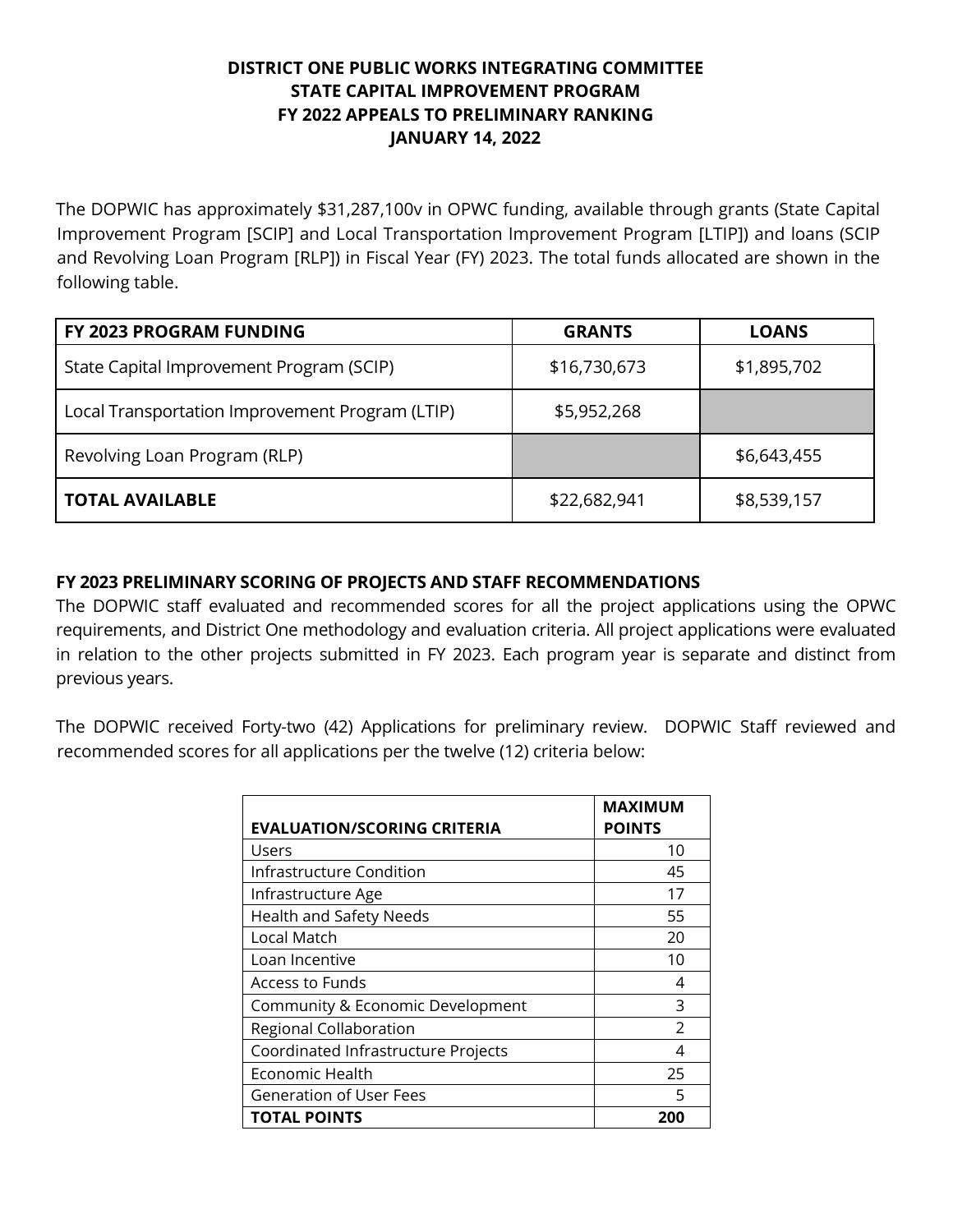## **DISTRICT ONE PUBLIC WORKS INTEGRATING COMMITTEE STATE CAPITAL IMPROVEMENT PROGRAM FY 2022 APPEALS TO PRELIMINARY RANKING JANUARY 14, 2022**

The DOPWIC has approximately \$31,287,100v in OPWC funding, available through grants (State Capital Improvement Program [SCIP] and Local Transportation Improvement Program [LTIP]) and loans (SCIP and Revolving Loan Program [RLP]) in Fiscal Year (FY) 2023. The total funds allocated are shown in the following table.

| FY 2023 PROGRAM FUNDING                         | <b>GRANTS</b> | <b>LOANS</b> |
|-------------------------------------------------|---------------|--------------|
| State Capital Improvement Program (SCIP)        | \$16,730,673  | \$1,895,702  |
| Local Transportation Improvement Program (LTIP) | \$5,952,268   |              |
| Revolving Loan Program (RLP)                    |               | \$6,643,455  |
| <b>TOTAL AVAILABLE</b>                          | \$22,682,941  | \$8,539,157  |

## **FY 2023 PRELIMINARY SCORING OF PROJECTS AND STAFF RECOMMENDATIONS**

The DOPWIC staff evaluated and recommended scores for all the project applications using the OPWC requirements, and District One methodology and evaluation criteria. All project applications were evaluated in relation to the other projects submitted in FY 2023. Each program year is separate and distinct from previous years.

The DOPWIC received Forty-two (42) Applications for preliminary review. DOPWIC Staff reviewed and recommended scores for all applications per the twelve (12) criteria below:

| <b>EVALUATION/SCORING CRITERIA</b>  | <b>MAXIMUM</b><br><b>POINTS</b> |
|-------------------------------------|---------------------------------|
| <b>Users</b>                        | 10                              |
| Infrastructure Condition            | 45                              |
| Infrastructure Age                  | 17                              |
| <b>Health and Safety Needs</b>      | 55                              |
| Local Match                         | 20                              |
| Loan Incentive                      | 10                              |
| Access to Funds                     | 4                               |
| Community & Economic Development    | 3                               |
| Regional Collaboration              | $\mathcal{P}$                   |
| Coordinated Infrastructure Projects | 4                               |
| Economic Health                     | 25                              |
| <b>Generation of User Fees</b>      | 5                               |
| TOTAL POINTS                        | 200                             |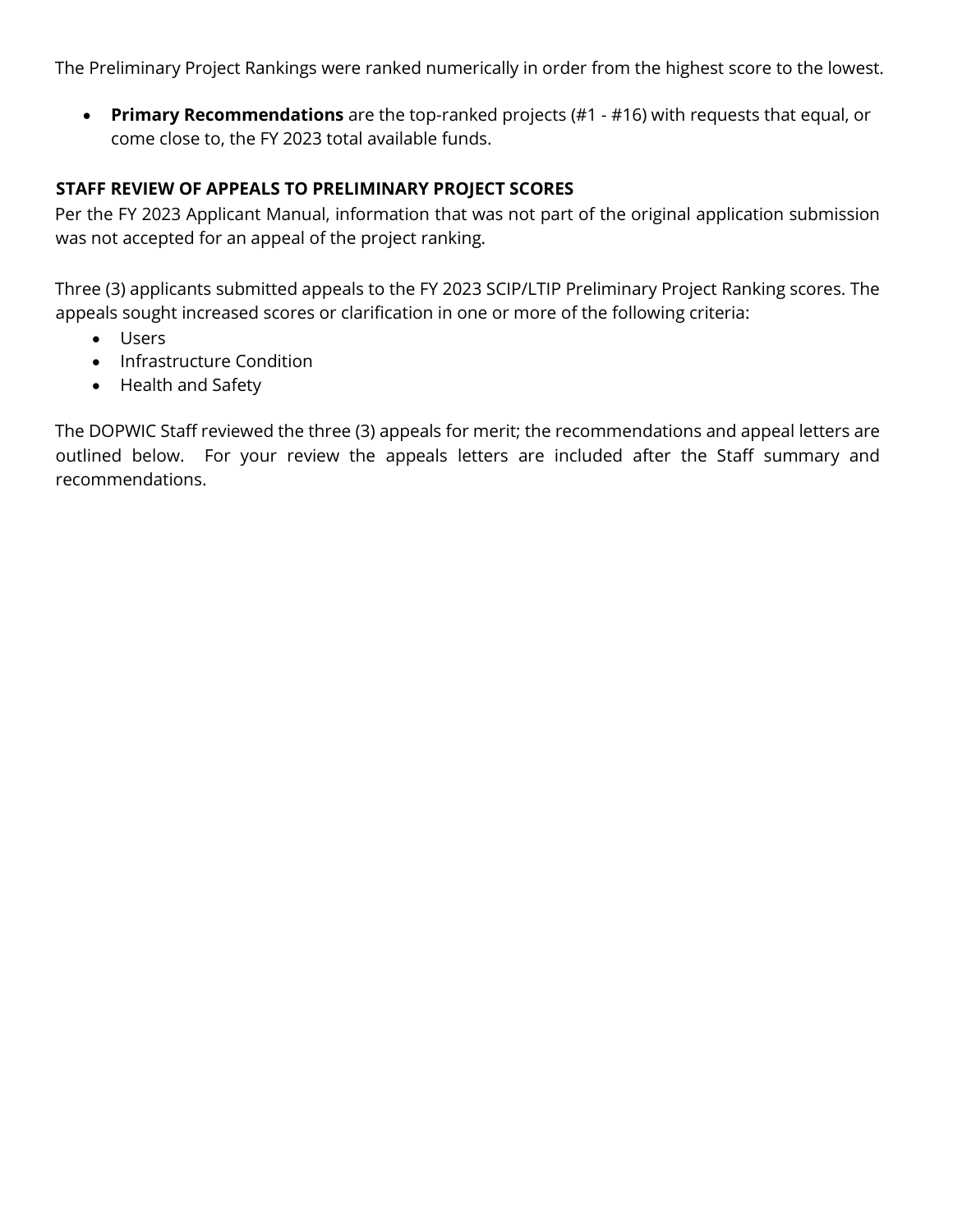The Preliminary Project Rankings were ranked numerically in order from the highest score to the lowest.

• **Primary Recommendations** are the top-ranked projects (#1 - #16) with requests that equal, or come close to, the FY 2023 total available funds.

## **STAFF REVIEW OF APPEALS TO PRELIMINARY PROJECT SCORES**

Per the FY 2023 Applicant Manual, information that was not part of the original application submission was not accepted for an appeal of the project ranking.

Three (3) applicants submitted appeals to the FY 2023 SCIP/LTIP Preliminary Project Ranking scores. The appeals sought increased scores or clarification in one or more of the following criteria:

- Users
- Infrastructure Condition
- Health and Safety

The DOPWIC Staff reviewed the three (3) appeals for merit; the recommendations and appeal letters are outlined below. For your review the appeals letters are included after the Staff summary and recommendations.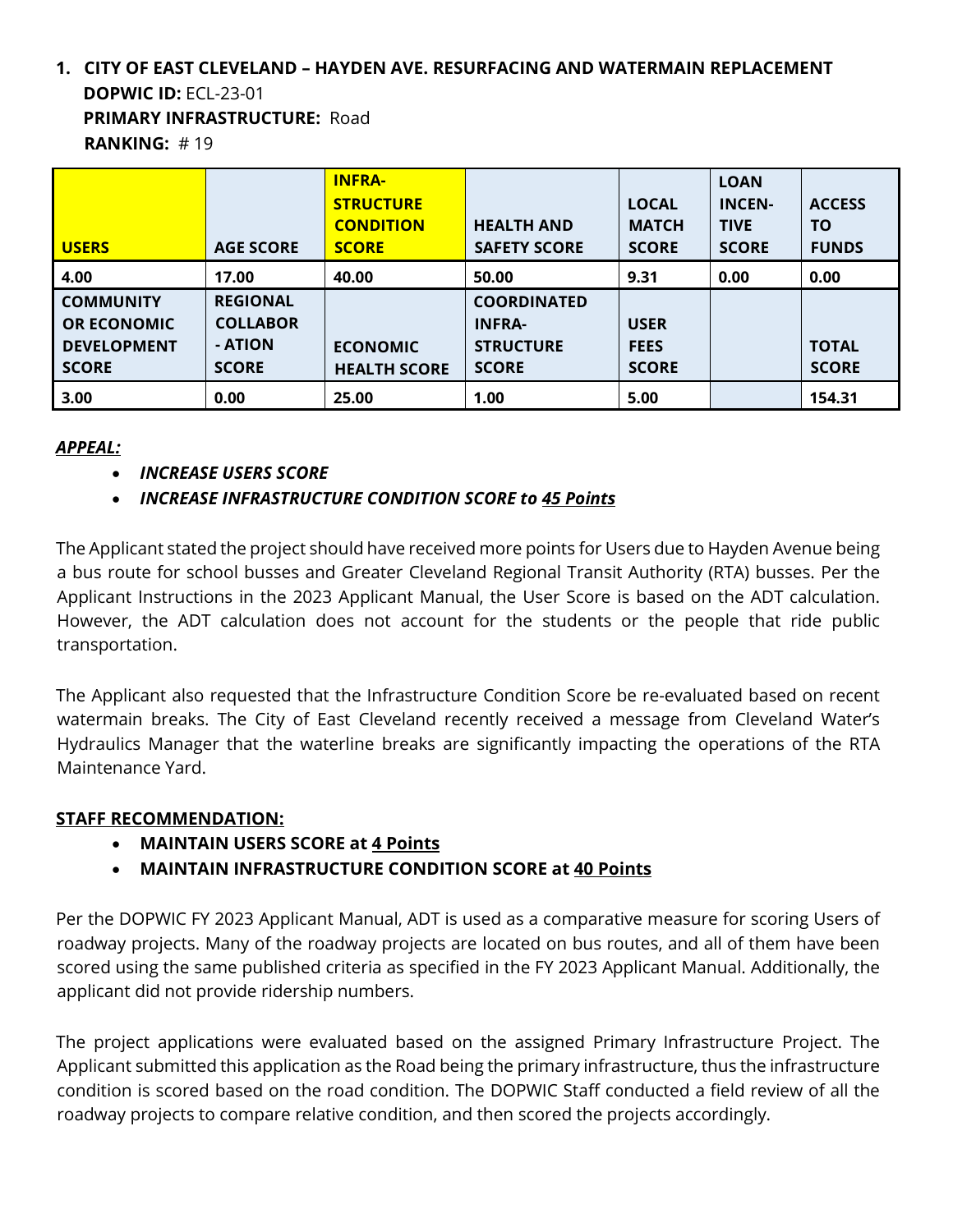## **1. CITY OF EAST CLEVELAND – HAYDEN AVE. RESURFACING AND WATERMAIN REPLACEMENT DOPWIC ID:** ECL-23-01 **PRIMARY INFRASTRUCTURE:** Road **RANKING:** # 19

|                    |                  | <b>INFRA-</b>       |                     |              | <b>LOAN</b>   |               |
|--------------------|------------------|---------------------|---------------------|--------------|---------------|---------------|
|                    |                  | <b>STRUCTURE</b>    |                     | <b>LOCAL</b> | <b>INCEN-</b> | <b>ACCESS</b> |
|                    |                  | <b>CONDITION</b>    | <b>HEALTH AND</b>   | <b>MATCH</b> | <b>TIVE</b>   | <b>TO</b>     |
| <b>USERS</b>       | <b>AGE SCORE</b> | <b>SCORE</b>        | <b>SAFETY SCORE</b> | <b>SCORE</b> | <b>SCORE</b>  | <b>FUNDS</b>  |
| 4.00               | 17.00            | 40.00               | 50.00               | 9.31         | 0.00          | 0.00          |
| <b>COMMUNITY</b>   | <b>REGIONAL</b>  |                     | <b>COORDINATED</b>  |              |               |               |
| <b>OR ECONOMIC</b> | <b>COLLABOR</b>  |                     | <b>INFRA-</b>       | <b>USER</b>  |               |               |
| <b>DEVELOPMENT</b> | - ATION          | <b>ECONOMIC</b>     | <b>STRUCTURE</b>    | <b>FEES</b>  |               | <b>TOTAL</b>  |
| <b>SCORE</b>       | <b>SCORE</b>     | <b>HEALTH SCORE</b> | <b>SCORE</b>        | <b>SCORE</b> |               | <b>SCORE</b>  |
| 3.00               | 0.00             | 25.00               | 1.00                | 5.00         |               | 154.31        |

#### *APPEAL:*

• *INCREASE USERS SCORE*

## • *INCREASE INFRASTRUCTURE CONDITION SCORE to 45 Points*

The Applicant stated the project should have received more points for Users due to Hayden Avenue being a bus route for school busses and Greater Cleveland Regional Transit Authority (RTA) busses. Per the Applicant Instructions in the 2023 Applicant Manual, the User Score is based on the ADT calculation. However, the ADT calculation does not account for the students or the people that ride public transportation.

The Applicant also requested that the Infrastructure Condition Score be re-evaluated based on recent watermain breaks. The City of East Cleveland recently received a message from Cleveland Water's Hydraulics Manager that the waterline breaks are significantly impacting the operations of the RTA Maintenance Yard.

## **STAFF RECOMMENDATION:**

- **MAINTAIN USERS SCORE at 4 Points**
- **MAINTAIN INFRASTRUCTURE CONDITION SCORE at 40 Points**

Per the DOPWIC FY 2023 Applicant Manual, ADT is used as a comparative measure for scoring Users of roadway projects. Many of the roadway projects are located on bus routes, and all of them have been scored using the same published criteria as specified in the FY 2023 Applicant Manual. Additionally, the applicant did not provide ridership numbers.

The project applications were evaluated based on the assigned Primary Infrastructure Project. The Applicant submitted this application as the Road being the primary infrastructure, thus the infrastructure condition is scored based on the road condition. The DOPWIC Staff conducted a field review of all the roadway projects to compare relative condition, and then scored the projects accordingly.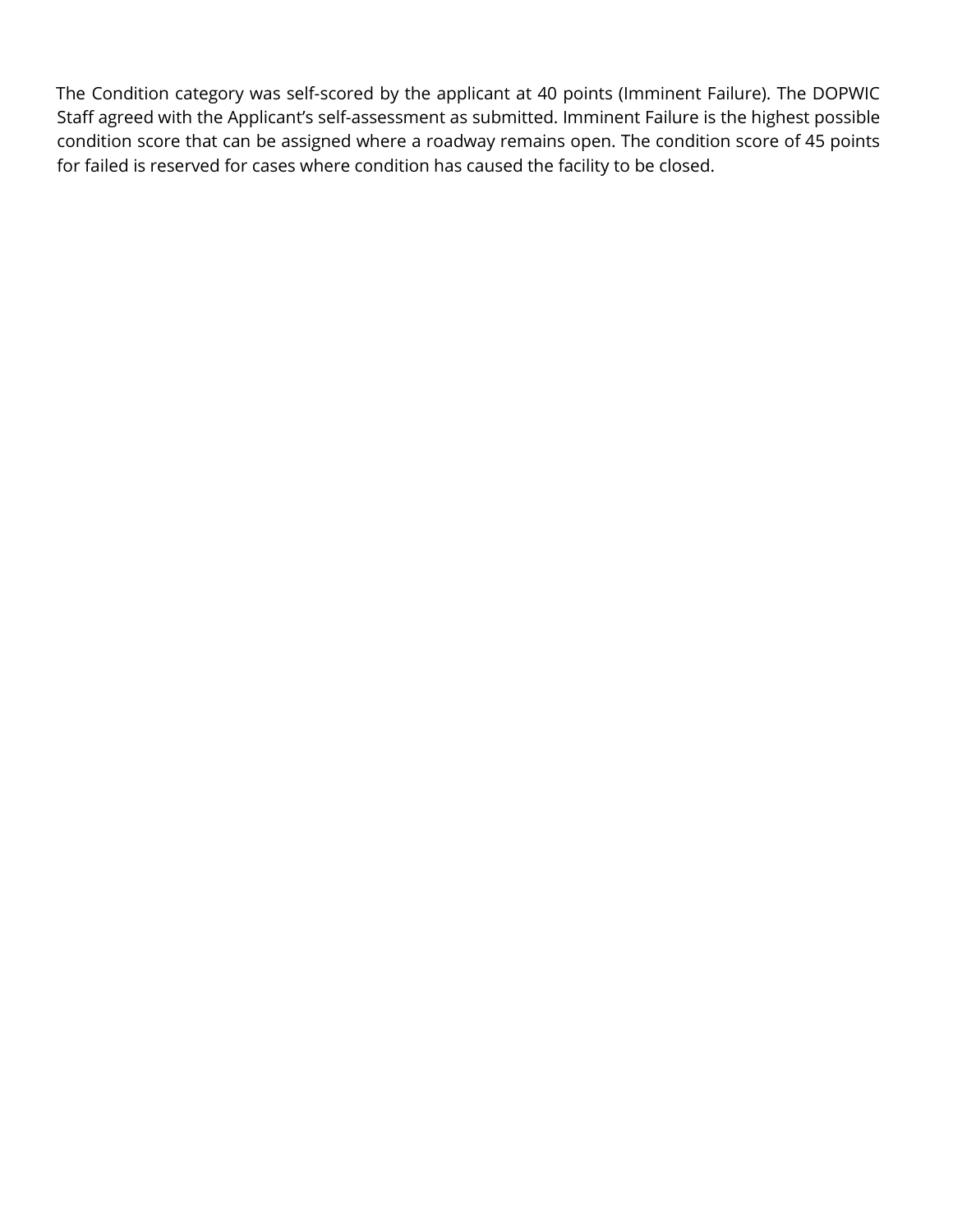The Condition category was self-scored by the applicant at 40 points (Imminent Failure). The DOPWIC Staff agreed with the Applicant's self-assessment as submitted. Imminent Failure is the highest possible condition score that can be assigned where a roadway remains open. The condition score of 45 points for failed is reserved for cases where condition has caused the facility to be closed.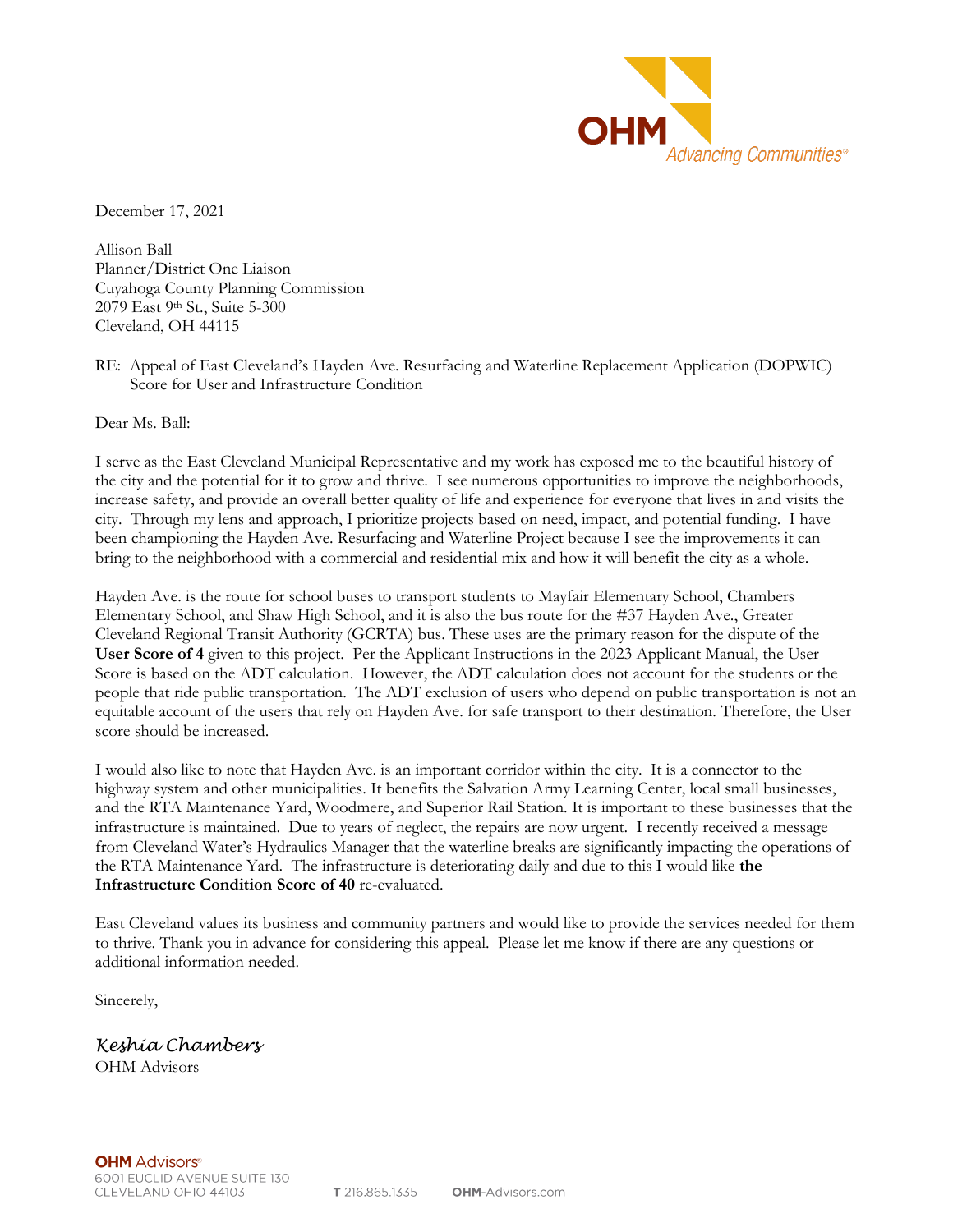

December 17, 2021

Allison Ball Planner/District One Liaison Cuyahoga County Planning Commission 2079 East 9th St., Suite 5-300 Cleveland, OH 44115

RE: Appeal of East Cleveland's Hayden Ave. Resurfacing and Waterline Replacement Application (DOPWIC) Score for User and Infrastructure Condition

Dear Ms. Ball:

I serve as the East Cleveland Municipal Representative and my work has exposed me to the beautiful history of the city and the potential for it to grow and thrive. I see numerous opportunities to improve the neighborhoods, increase safety, and provide an overall better quality of life and experience for everyone that lives in and visits the city. Through my lens and approach, I prioritize projects based on need, impact, and potential funding. I have been championing the Hayden Ave. Resurfacing and Waterline Project because I see the improvements it can bring to the neighborhood with a commercial and residential mix and how it will benefit the city as a whole.

Hayden Ave. is the route for school buses to transport students to Mayfair Elementary School, Chambers Elementary School, and Shaw High School, and it is also the bus route for the #37 Hayden Ave., Greater Cleveland Regional Transit Authority (GCRTA) bus. These uses are the primary reason for the dispute of the **User Score of 4** given to this project. Per the Applicant Instructions in the 2023 Applicant Manual, the User Score is based on the ADT calculation. However, the ADT calculation does not account for the students or the people that ride public transportation. The ADT exclusion of users who depend on public transportation is not an equitable account of the users that rely on Hayden Ave. for safe transport to their destination. Therefore, the User score should be increased.

I would also like to note that Hayden Ave. is an important corridor within the city. It is a connector to the highway system and other municipalities. It benefits the Salvation Army Learning Center, local small businesses, and the RTA Maintenance Yard, Woodmere, and Superior Rail Station. It is important to these businesses that the infrastructure is maintained. Due to years of neglect, the repairs are now urgent. I recently received a message from Cleveland Water's Hydraulics Manager that the waterline breaks are significantly impacting the operations of the RTA Maintenance Yard. The infrastructure is deteriorating daily and due to this I would like **the Infrastructure Condition Score of 40** re-evaluated.

East Cleveland values its business and community partners and would like to provide the services needed for them to thrive. Thank you in advance for considering this appeal. Please let me know if there are any questions or additional information needed.

Sincerely,

*Keshia Chambers* OHM Advisors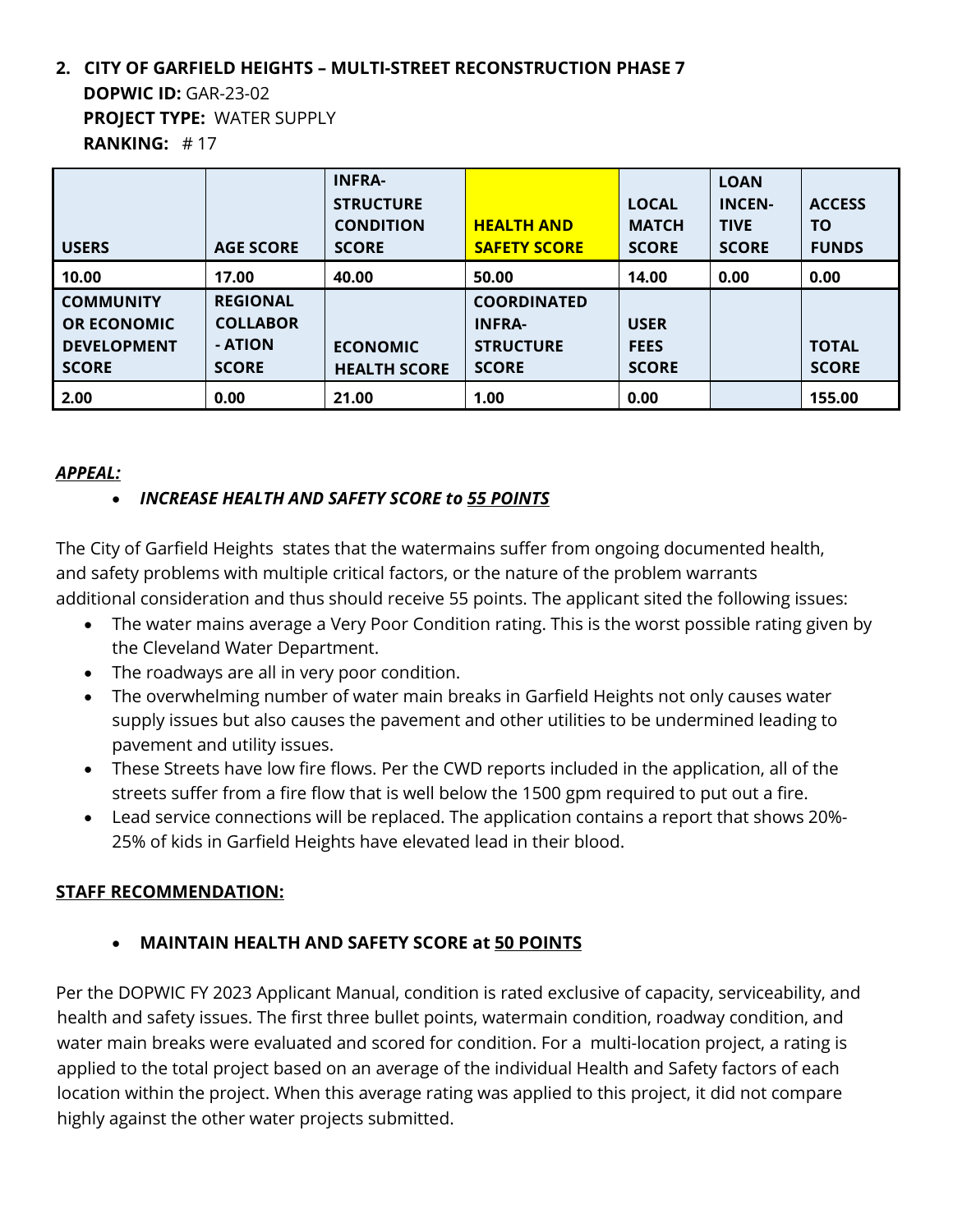## **2. CITY OF GARFIELD HEIGHTS – MULTI-STREET RECONSTRUCTION PHASE 7 DOPWIC ID:** GAR-23-02 **PROJECT TYPE:** WATER SUPPLY **RANKING:** # 17

|                    |                  | <b>INFRA-</b>       |                     |              | <b>LOAN</b>   |               |
|--------------------|------------------|---------------------|---------------------|--------------|---------------|---------------|
|                    |                  | <b>STRUCTURE</b>    |                     | <b>LOCAL</b> | <b>INCEN-</b> | <b>ACCESS</b> |
|                    |                  | <b>CONDITION</b>    | <b>HEALTH AND</b>   | <b>MATCH</b> | <b>TIVE</b>   | <b>TO</b>     |
| <b>USERS</b>       | <b>AGE SCORE</b> | <b>SCORE</b>        | <b>SAFETY SCORE</b> | <b>SCORE</b> | <b>SCORE</b>  | <b>FUNDS</b>  |
| 10.00              | 17.00            | 40.00               | 50.00               | 14.00        | 0.00          | 0.00          |
| <b>COMMUNITY</b>   | <b>REGIONAL</b>  |                     | <b>COORDINATED</b>  |              |               |               |
| <b>OR ECONOMIC</b> | <b>COLLABOR</b>  |                     | <b>INFRA-</b>       | <b>USER</b>  |               |               |
| <b>DEVELOPMENT</b> | - ATION          | <b>ECONOMIC</b>     | <b>STRUCTURE</b>    | <b>FEES</b>  |               | <b>TOTAL</b>  |
| <b>SCORE</b>       | <b>SCORE</b>     | <b>HEALTH SCORE</b> | <b>SCORE</b>        | <b>SCORE</b> |               | <b>SCORE</b>  |
| 2.00               | 0.00             | 21.00               | 1.00                | 0.00         |               | 155.00        |

## *APPEAL:*

## • *INCREASE HEALTH AND SAFETY SCORE to 55 POINTS*

The City of Garfield Heights states that the watermains suffer from ongoing documented health, and safety problems with multiple critical factors, or the nature of the problem warrants additional consideration and thus should receive 55 points. The applicant sited the following issues:

- The water mains average a Very Poor Condition rating. This is the worst possible rating given by the Cleveland Water Department.
- The roadways are all in very poor condition.
- The overwhelming number of water main breaks in Garfield Heights not only causes water supply issues but also causes the pavement and other utilities to be undermined leading to pavement and utility issues.
- These Streets have low fire flows. Per the CWD reports included in the application, all of the streets suffer from a fire flow that is well below the 1500 gpm required to put out a fire.
- Lead service connections will be replaced. The application contains a report that shows 20%- 25% of kids in Garfield Heights have elevated lead in their blood.

## **STAFF RECOMMENDATION:**

• **MAINTAIN HEALTH AND SAFETY SCORE at 50 POINTS**

Per the DOPWIC FY 2023 Applicant Manual, condition is rated exclusive of capacity, serviceability, and health and safety issues. The first three bullet points, watermain condition, roadway condition, and water main breaks were evaluated and scored for condition. For a multi-location project, a rating is applied to the total project based on an average of the individual Health and Safety factors of each location within the project. When this average rating was applied to this project, it did not compare highly against the other water projects submitted.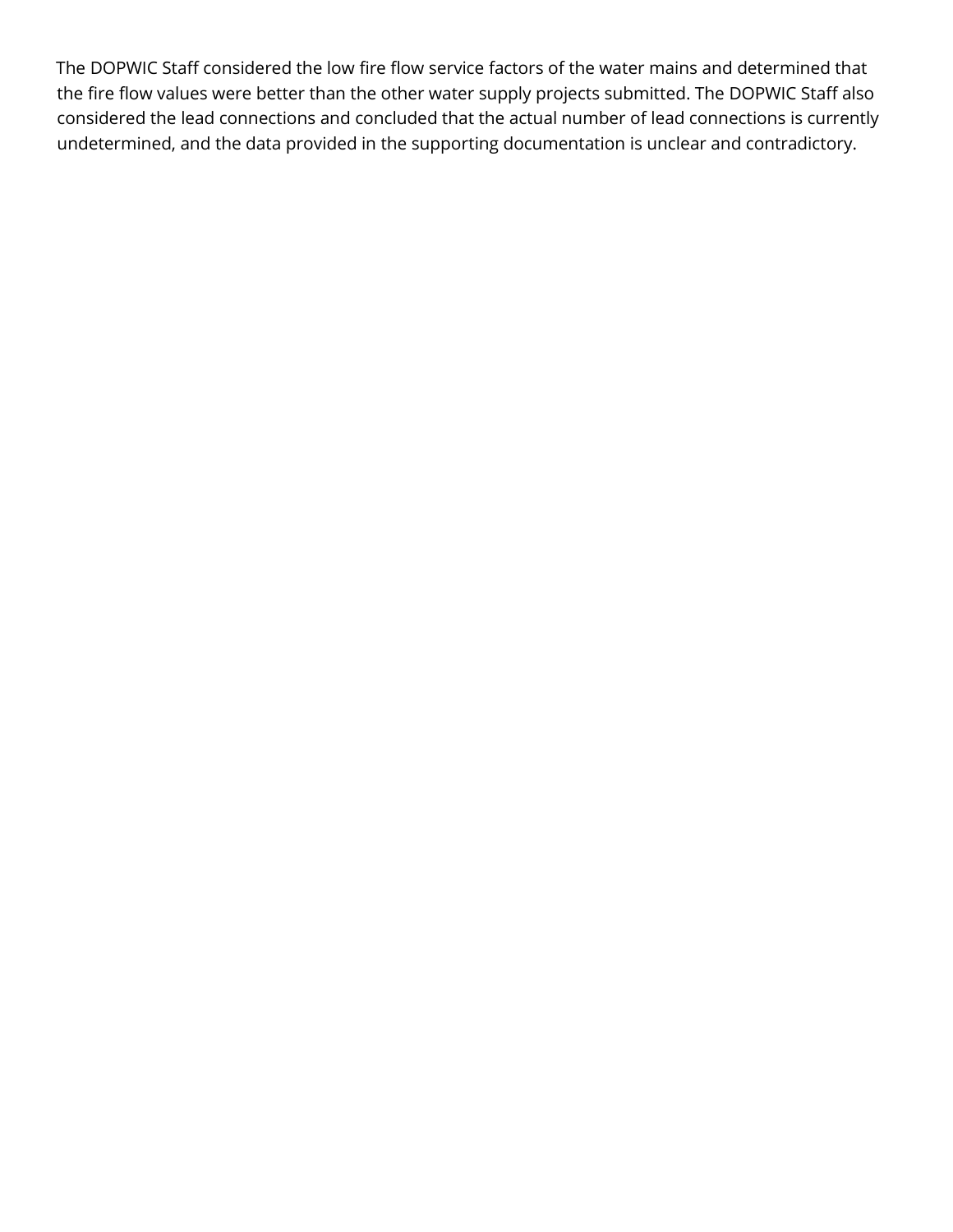The DOPWIC Staff considered the low fire flow service factors of the water mains and determined that the fire flow values were better than the other water supply projects submitted. The DOPWIC Staff also considered the lead connections and concluded that the actual number of lead connections is currently undetermined, and the data provided in the supporting documentation is unclear and contradictory.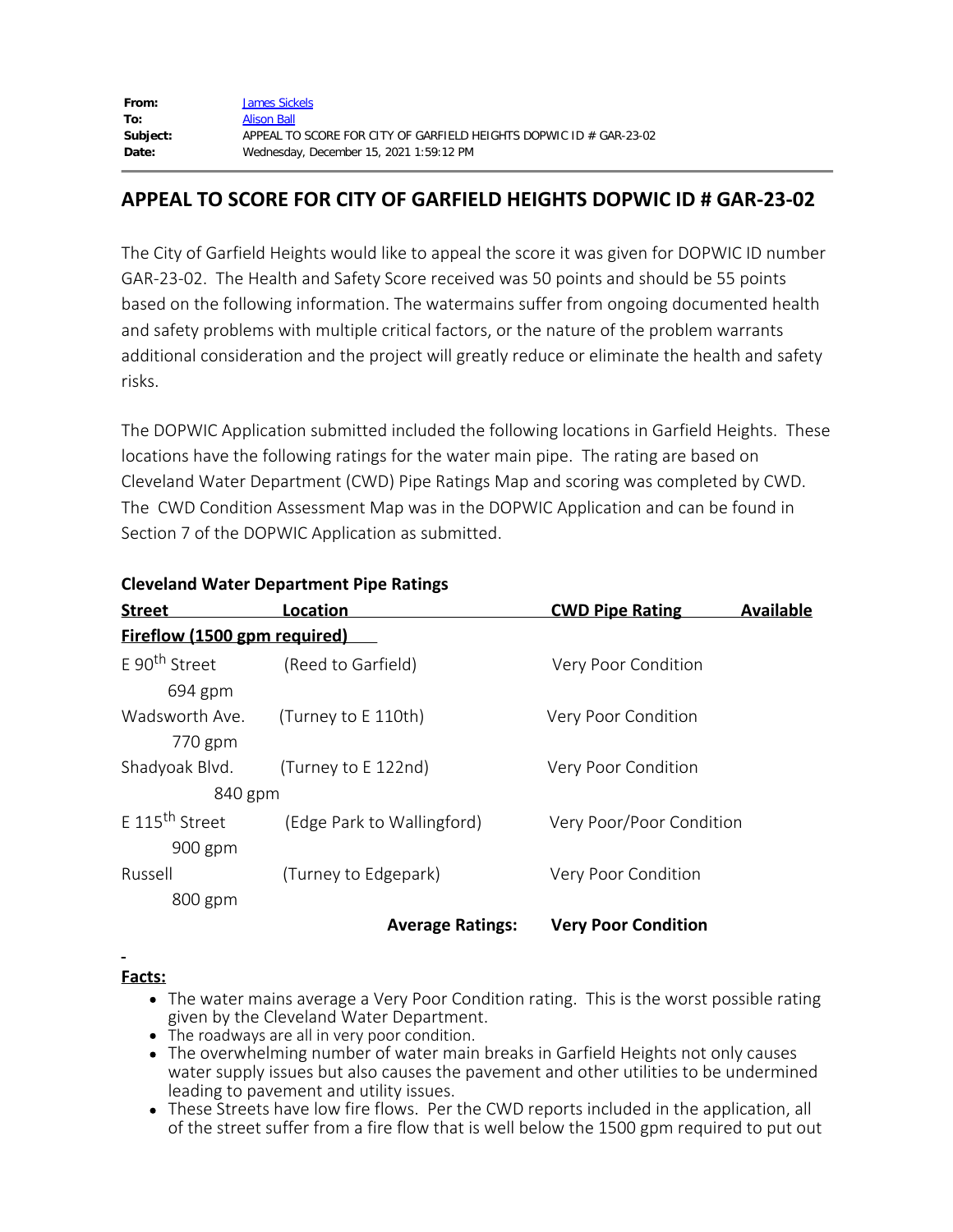| From:    | <b>James Sickels</b>                                               |
|----------|--------------------------------------------------------------------|
| To:      | <b>Alison Ball</b>                                                 |
| Subject: | APPEAL TO SCORE FOR CITY OF GARFIELD HEIGHTS DOPWIC ID # GAR-23-02 |
| Date:    | Wednesday, December 15, 2021 1:59:12 PM                            |

## **APPEAL TO SCORE FOR CITY OF GARFIELD HEIGHTS DOPWIC ID # GAR-23-02**

The City of Garfield Heights would like to appeal the score it was given for DOPWIC ID number GAR-23-02. The Health and Safety Score received was 50 points and should be 55 points based on the following information. The watermains suffer from ongoing documented health and safety problems with multiple critical factors, or the nature of the problem warrants additional consideration and the project will greatly reduce or eliminate the health and safety risks.

The DOPWIC Application submitted included the following locations in Garfield Heights. These locations have the following ratings for the water main pipe. The rating are based on Cleveland Water Department (CWD) Pipe Ratings Map and scoring was completed by CWD. The CWD Condition Assessment Map was in the DOPWIC Application and can be found in Section 7 of the DOPWIC Application as submitted.

| <b>Street</b>                         | Location                   | <b>CWD Pipe Rating</b>     | <b>Available</b> |
|---------------------------------------|----------------------------|----------------------------|------------------|
| <b>Fireflow (1500 gpm required)</b>   |                            |                            |                  |
| E 90 <sup>th</sup> Street<br>694 gpm  | (Reed to Garfield)         | Very Poor Condition        |                  |
| Wadsworth Ave.<br>770 gpm             | (Turney to E 110th)        | Very Poor Condition        |                  |
| Shadyoak Blvd.<br>840 gpm             | (Turney to E 122nd)        | Very Poor Condition        |                  |
| F 115 <sup>th</sup> Street<br>900 gpm | (Edge Park to Wallingford) | Very Poor/Poor Condition   |                  |
| Russell                               | (Turney to Edgepark)       | Very Poor Condition        |                  |
| 800 gpm                               | <b>Average Ratings:</b>    | <b>Very Poor Condition</b> |                  |

## **Cleveland Water Department Pipe Ratings**

#### **Facts:**

- The water mains average a Very Poor Condition rating. This is the worst possible rating given by the Cleveland Water Department.
- The roadways are all in very poor condition.
- The overwhelming number of water main breaks in Garfield Heights not only causes water supply issues but also causes the pavement and other utilities to be undermined leading to pavement and utility issues.
- These Streets have low fire flows. Per the CWD reports included in the application, all of the street suffer from a fire flow that is well below the 1500 gpm required to put out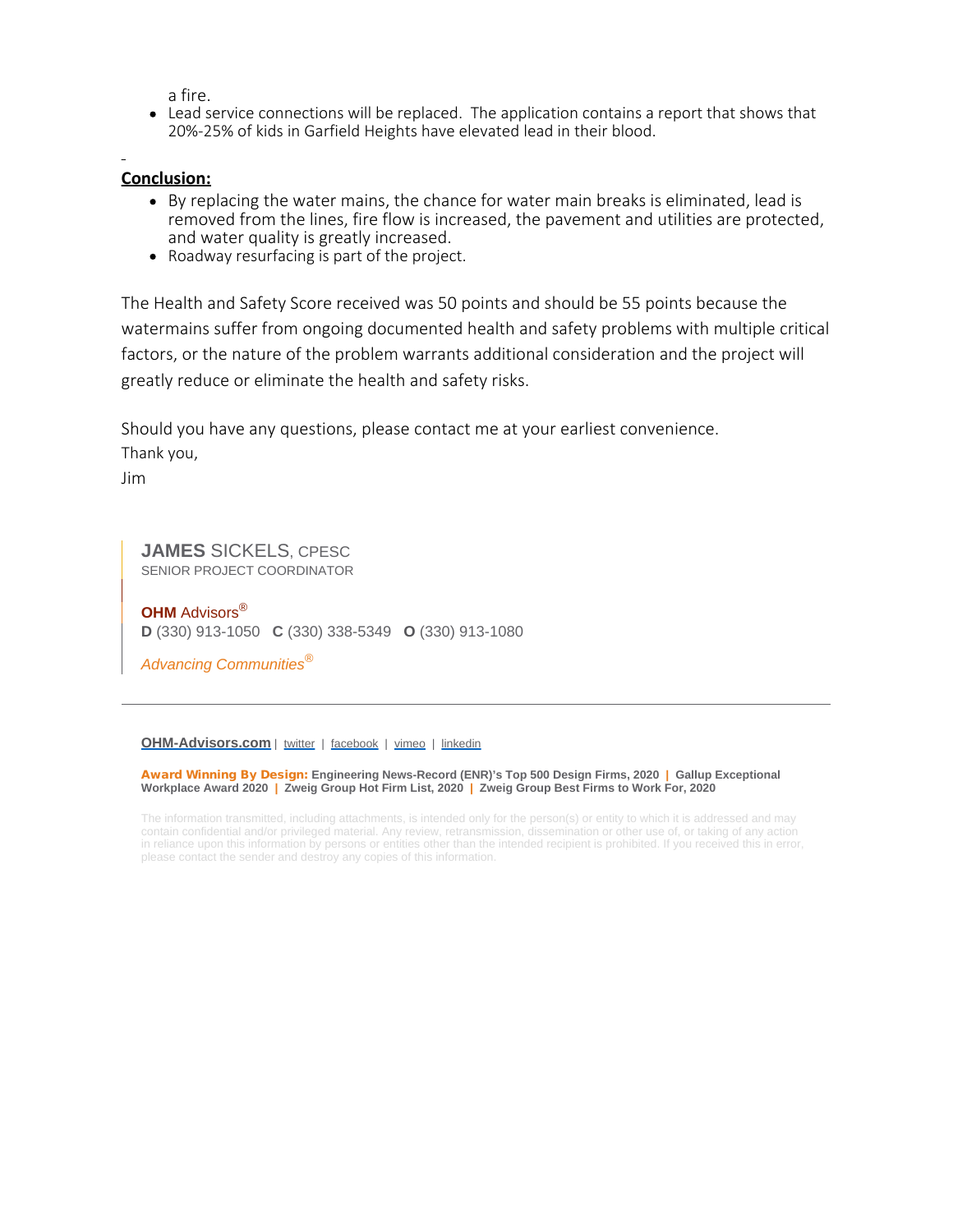a fire.

Lead service connections will be replaced. The application contains a report that shows that 20%-25% of kids in Garfield Heights have elevated lead in their blood.

#### **Conclusion:**

- By replacing the water mains, the chance for water main breaks is eliminated, lead is removed from the lines, fire flow is increased, the pavement and utilities are protected, and water quality is greatly increased.
- Roadway resurfacing is part of the project.

The Health and Safety Score received was 50 points and should be 55 points because the watermains suffer from ongoing documented health and safety problems with multiple critical factors, or the nature of the problem warrants additional consideration and the project will greatly reduce or eliminate the health and safety risks.

Should you have any questions, please contact me at your earliest convenience.

Thank you,

Jim

**JAMES** SICKELS, CPESC SENIOR PROJECT COORDINATOR

**OHM** Advisors® **D** (330) 913-1050 **C** (330) 338-5349 **O** (330) 913-1080

*Advancing Communities®*

#### **[OHM-Advisors.com](https://linkprotect.cudasvc.com/url?a=http%3a%2f%2fwww.ohm-advisors.com%2f&c=E,1,zvxgtBmtaU0eC6G20nkMI3miArnHuvBSNSG5SGzp6uKM-D_F8ww6AQXQA6s1pVsiwiDA1frEIVtOr9ndwsESeNDHSWNeeg7xFMym3qnS&typo=1)** | [twitter](https://twitter.com/OHMadvisors) | [facebook](https://www.facebook.com/OHMadvisors) | [vimeo](https://linkprotect.cudasvc.com/url?a=https%3a%2f%2fvimeo.com%2fohmadvisors&c=E,1,Ao9dQUZPLjKFJlpnOstfDS_LKdkU8kZewLpLKQq9NDoHiLyykF-wHNv8SK42CpwqJNJlJ20J4qhbQ57bGbve96ADAa0PZgIJSoNcCF0HFApJyqPwOXo,&typo=1) | [linkedin](https://www.linkedin.com/company/ohmadvisors)

Award Winning By Design: **Engineering News-Record (ENR)'s Top 500 Design Firms, 2020 | Gallup Exceptional Workplace Award 2020 | Zweig Group Hot Firm List, 2020 | Zweig Group Best Firms to Work For, 2020**

The information transmitted, including attachments, is intended only for the person(s) or entity to which it is addressed and may contain confidential and/or privileged material. Any review, retransmission, dissemination or other use of, or taking of any action in reliance upon this information by persons or entities other than the intended recipient is prohibited. If you received this in error, please contact the sender and destroy any copies of this information.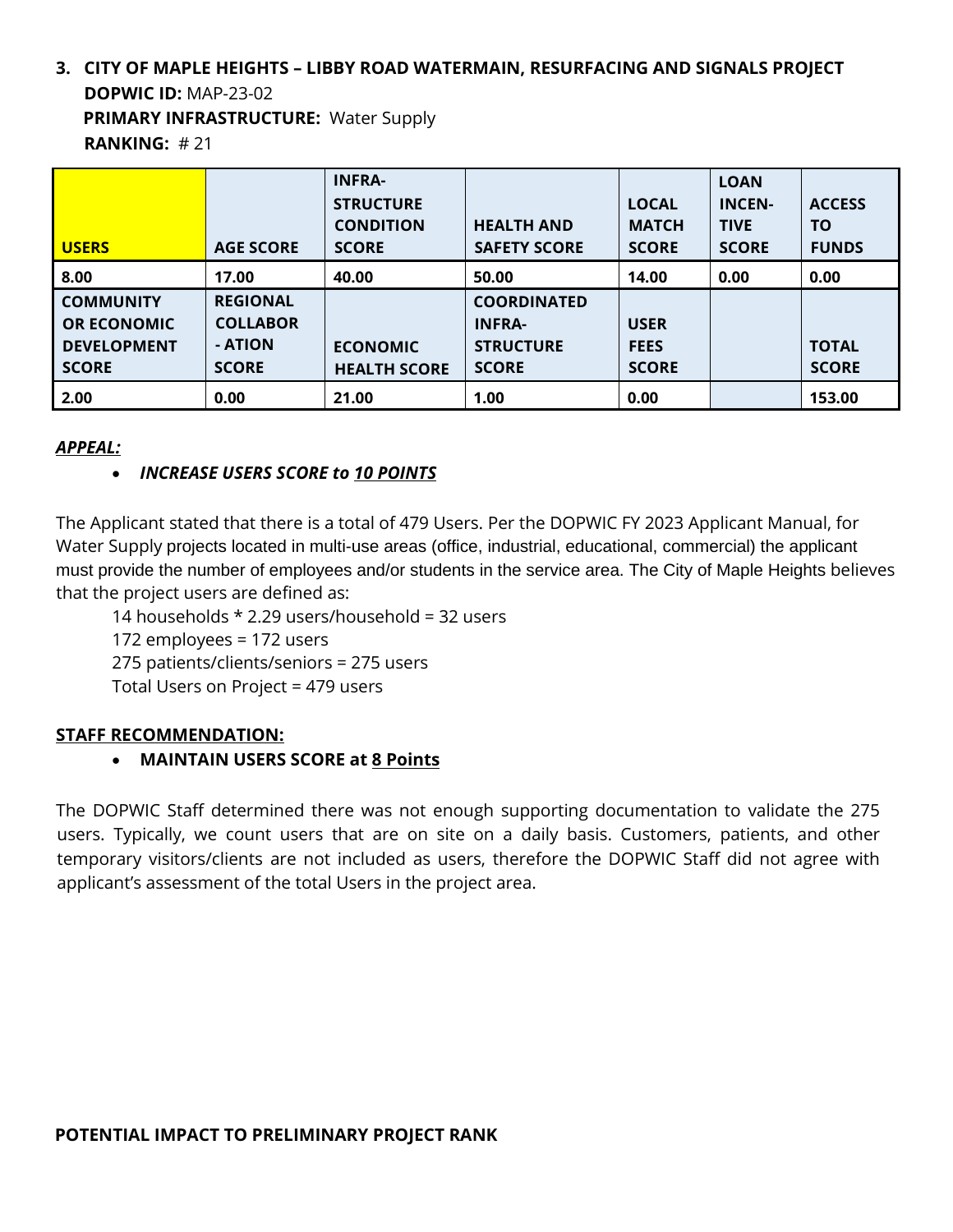## **3. CITY OF MAPLE HEIGHTS – LIBBY ROAD WATERMAIN, RESURFACING AND SIGNALS PROJECT DOPWIC ID:** MAP-23-02 **PRIMARY INFRASTRUCTURE:** Water Supply

**RANKING:** # 21

| <b>USERS</b>                                                                 | <b>AGE SCORE</b>                                              | <b>INFRA-</b><br><b>STRUCTURE</b><br><b>CONDITION</b><br><b>SCORE</b> | <b>HEALTH AND</b><br><b>SAFETY SCORE</b>                                | <b>LOCAL</b><br><b>MATCH</b><br><b>SCORE</b> | <b>LOAN</b><br><b>INCEN-</b><br><b>TIVE</b><br><b>SCORE</b> | <b>ACCESS</b><br>ΤO<br><b>FUNDS</b> |
|------------------------------------------------------------------------------|---------------------------------------------------------------|-----------------------------------------------------------------------|-------------------------------------------------------------------------|----------------------------------------------|-------------------------------------------------------------|-------------------------------------|
| 8.00                                                                         | 17.00                                                         | 40.00                                                                 | 50.00                                                                   | 14.00                                        | 0.00                                                        | 0.00                                |
| <b>COMMUNITY</b><br><b>OR ECONOMIC</b><br><b>DEVELOPMENT</b><br><b>SCORE</b> | <b>REGIONAL</b><br><b>COLLABOR</b><br>- ATION<br><b>SCORE</b> | <b>ECONOMIC</b><br><b>HEALTH SCORE</b>                                | <b>COORDINATED</b><br><b>INFRA-</b><br><b>STRUCTURE</b><br><b>SCORE</b> | <b>USER</b><br><b>FEES</b><br><b>SCORE</b>   |                                                             | <b>TOTAL</b><br><b>SCORE</b>        |
| 2.00                                                                         | 0.00                                                          | 21.00                                                                 | 1.00                                                                    | 0.00                                         |                                                             | 153.00                              |

#### *APPEAL:*

## • *INCREASE USERS SCORE to 10 POINTS*

The Applicant stated that there is a total of 479 Users. Per the DOPWIC FY 2023 Applicant Manual, for Water Supply projects located in multi-use areas (office, industrial, educational, commercial) the applicant must provide the number of employees and/or students in the service area. The City of Maple Heights believes that the project users are defined as:

14 households \* 2.29 users/household = 32 users

172 employees = 172 users

275 patients/clients/seniors = 275 users

Total Users on Project = 479 users

#### **STAFF RECOMMENDATION:**

#### • **MAINTAIN USERS SCORE at 8 Points**

The DOPWIC Staff determined there was not enough supporting documentation to validate the 275 users. Typically, we count users that are on site on a daily basis. Customers, patients, and other temporary visitors/clients are not included as users, therefore the DOPWIC Staff did not agree with applicant's assessment of the total Users in the project area.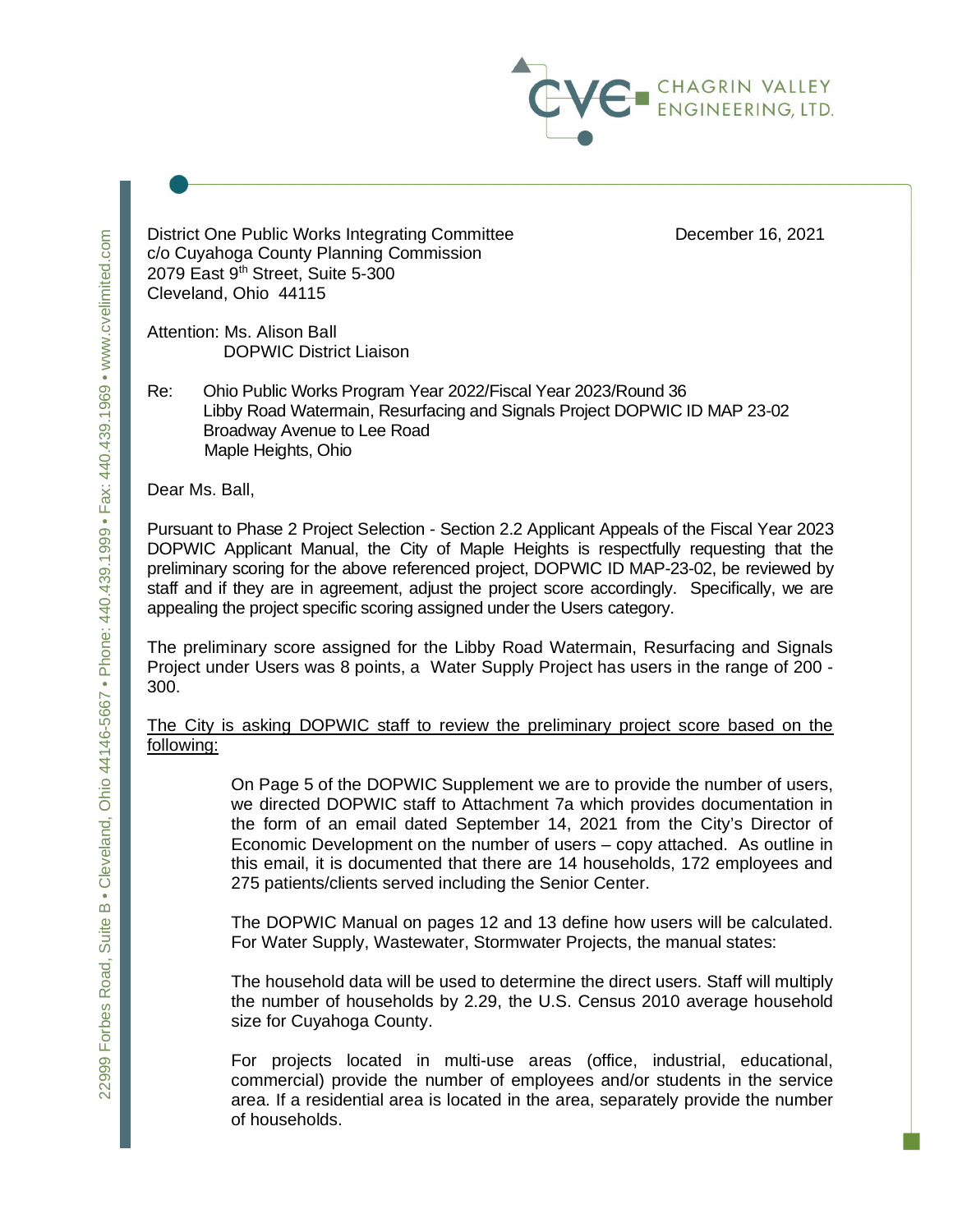

District One Public Works Integrating Committee **December 16, 2021** c/o Cuyahoga County Planning Commission 2079 East 9<sup>th</sup> Street, Suite 5-300 Cleveland, Ohio 44115

Attention: Ms. Alison Ball DOPWIC District Liaison

Re: Ohio Public Works Program Year 2022/Fiscal Year 2023/Round 36 Libby Road Watermain, Resurfacing and Signals Project DOPWIC ID MAP 23-02 Broadway Avenue to Lee Road Maple Heights, Ohio

Dear Ms. Ball,

Pursuant to Phase 2 Project Selection - Section 2.2 Applicant Appeals of the Fiscal Year 2023 DOPWIC Applicant Manual, the City of Maple Heights is respectfully requesting that the preliminary scoring for the above referenced project, DOPWIC ID MAP-23-02, be reviewed by staff and if they are in agreement, adjust the project score accordingly. Specifically, we are appealing the project specific scoring assigned under the Users category.

The preliminary score assigned for the Libby Road Watermain, Resurfacing and Signals Project under Users was 8 points, a Water Supply Project has users in the range of 200 - 300.

The City is asking DOPWIC staff to review the preliminary project score based on the following:

> On Page 5 of the DOPWIC Supplement we are to provide the number of users, we directed DOPWIC staff to Attachment 7a which provides documentation in the form of an email dated September 14, 2021 from the City's Director of Economic Development on the number of users – copy attached. As outline in this email, it is documented that there are 14 households, 172 employees and 275 patients/clients served including the Senior Center.

> The DOPWIC Manual on pages 12 and 13 define how users will be calculated. For Water Supply, Wastewater, Stormwater Projects, the manual states:

> The household data will be used to determine the direct users. Staff will multiply the number of households by 2.29, the U.S. Census 2010 average household size for Cuyahoga County.

> For projects located in multi-use areas (office, industrial, educational, commercial) provide the number of employees and/or students in the service area. If a residential area is located in the area, separately provide the number of households.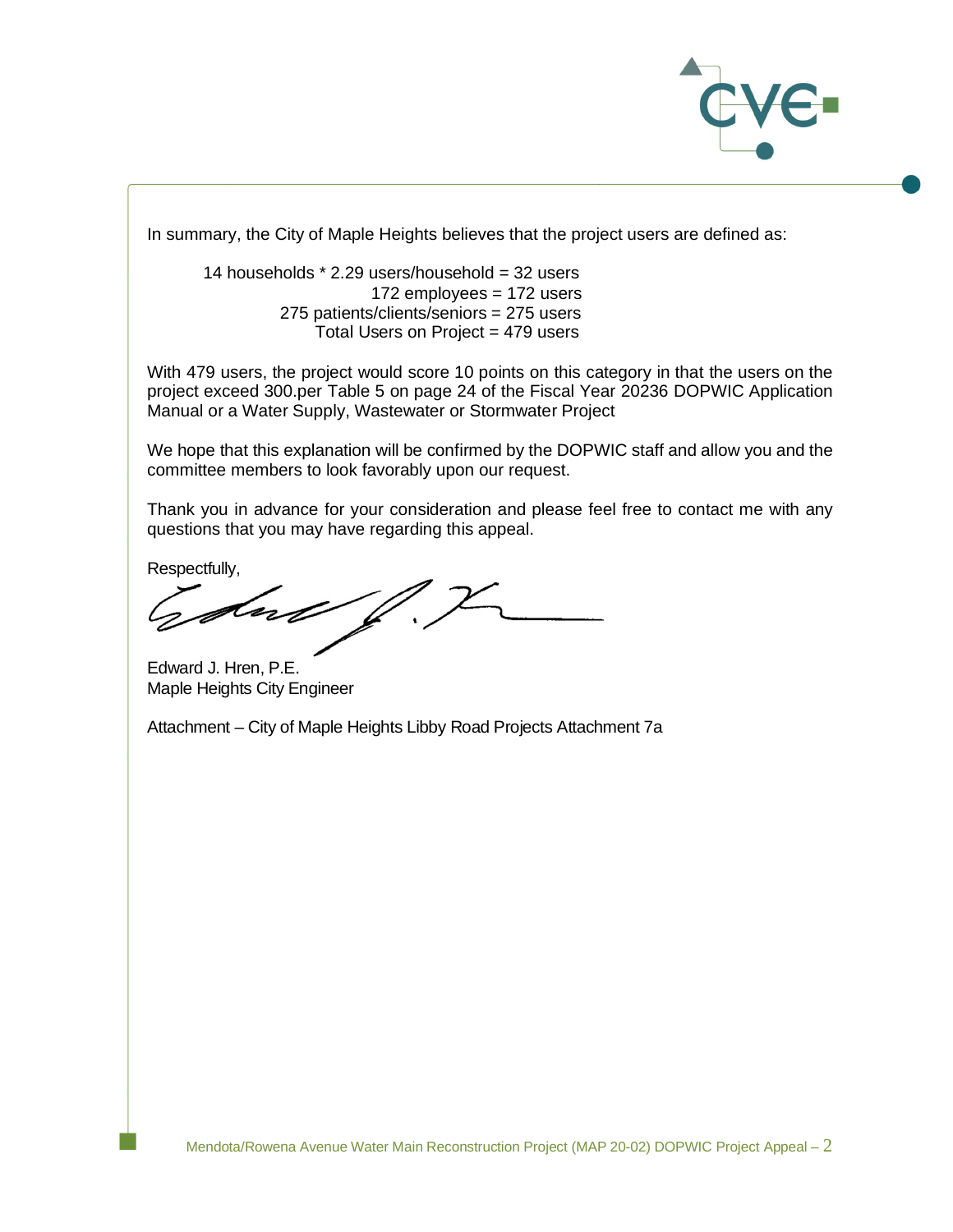

In summary, the City of Maple Heights believes that the project users are defined as:

14 households  $*$  2.29 users/household = 32 users 172 employees = 172 users 275 patients/clients/seniors = 275 users Total Users on Project = 479 users

With 479 users, the project would score 10 points on this category in that the users on the project exceed 300.per Table 5 on page 24 of the Fiscal Year 20236 DOPWIC Application Manual or a Water Supply, Wastewater or Stormwater Project

We hope that this explanation will be confirmed by the DOPWIC staff and allow you and the committee members to look favorably upon our request.

Thank you in advance for your consideration and please feel free to contact me with any questions that you may have regarding this appeal.

Respectfully,

dup

Edward J. Hren, P.E. Maple Heights City Engineer

Attachment – City of Maple Heights Libby Road Projects Attachment 7a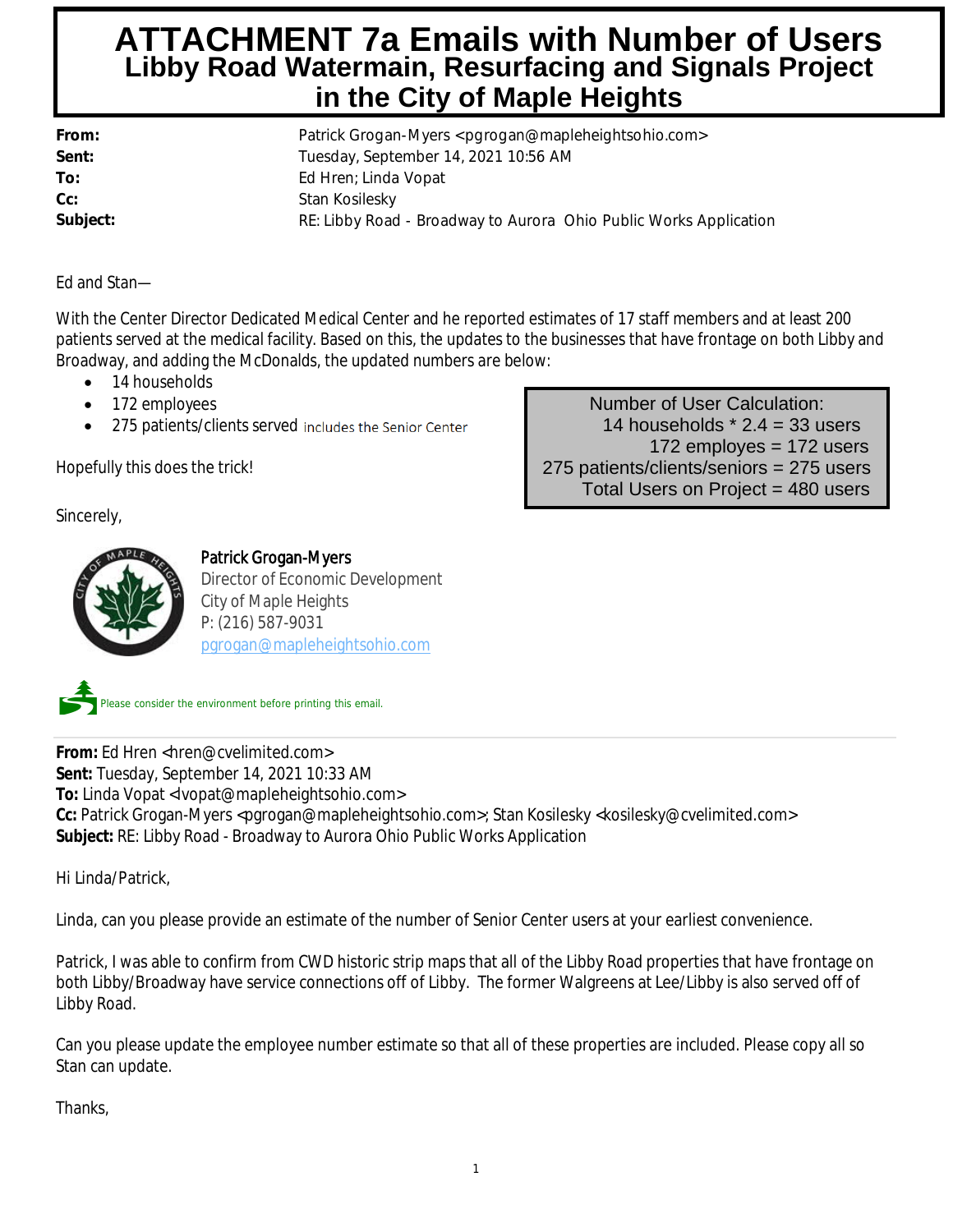## **Stan Kosilesky ATTACHMENT 7a Emails with Number of Users Libby Road Watermain, Resurfacing and Signals Project in the City of Maple Heights**

| From:    | Patrick Grogan-Myers <pgrogan@mapleheightsohio.com></pgrogan@mapleheightsohio.com> |  |  |
|----------|------------------------------------------------------------------------------------|--|--|
| Sent:    | Tuesday, September 14, 2021 10:56 AM                                               |  |  |
| To:      | Ed Hren; Linda Vopat                                                               |  |  |
| Cc:      | Stan Kosilesky                                                                     |  |  |
| Subject: | RE: Libby Road - Broadway to Aurora Ohio Public Works Application                  |  |  |

Ed and Stan—

With the Center Director Dedicated Medical Center and he reported estimates of 17 staff members and at least 200 patients served at the medical facility. Based on this, the updates to the businesses that have frontage on both Libby and Broadway, and adding the McDonalds, the updated numbers are below:

- 14 households
- 172 employees
- 275 patients/clients served includes the Senior Center

Hopefully this does the trick!

Sincerely,



#### Patrick Grogan-Myers

Director of Economic Development City of Maple Heights P: (216) 587-9031 pgrogan@mapleheightsohio.com

Number of User Calculation: 14 households  $*$  2.4 = 33 users 172 employes = 172 users 275 patients/clients/seniors = 275 users Total Users on Project = 480 users

ease consider the environment before printing this email.

From: Ed Hren <hren@cvelimited.com> **Sent:** Tuesday, September 14, 2021 10:33 AM **To:** Linda Vopat <lvopat@mapleheightsohio.com> **Cc:** Patrick Grogan-Myers <pgrogan@mapleheightsohio.com>; Stan Kosilesky <kosilesky@cvelimited.com> **Subject:** RE: Libby Road - Broadway to Aurora Ohio Public Works Application

Hi Linda/Patrick,

Linda, can you please provide an estimate of the number of Senior Center users at your earliest convenience.

Patrick, I was able to confirm from CWD historic strip maps that all of the Libby Road properties that have frontage on both Libby/Broadway have service connections off of Libby. The former Walgreens at Lee/Libby is also served off of Libby Road.

Can you please update the employee number estimate so that all of these properties are included. Please copy all so Stan can update.

Thanks,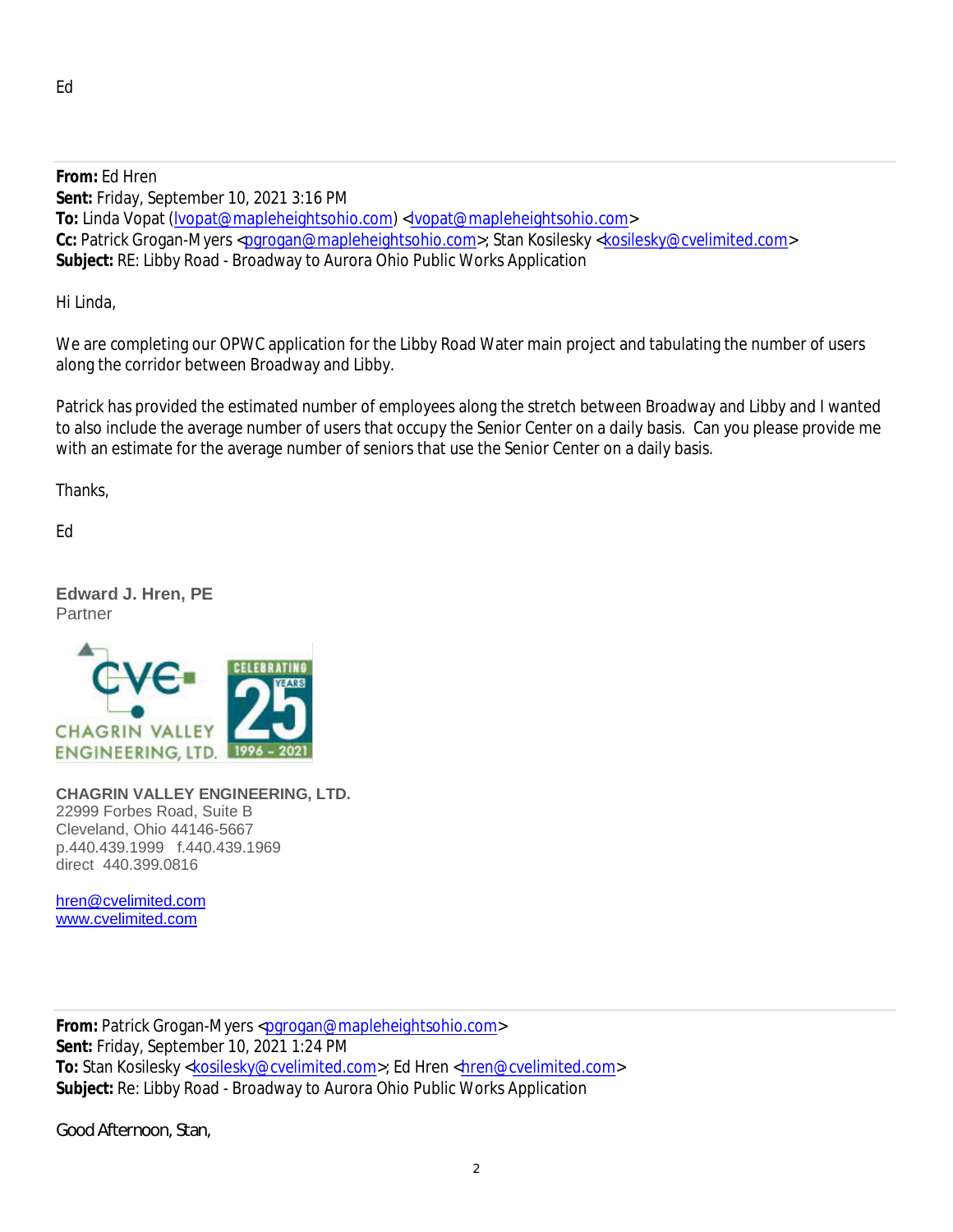**From:** Ed Hren **Sent:** Friday, September 10, 2021 3:16 PM **To:** Linda Vopat (lvopat@mapleheightsohio.com) <lvopat@mapleheightsohio.com> Cc: Patrick Grogan-Myers <pgrogan@mapleheightsohio.com>; Stan Kosilesky <kosilesky@cvelimited.com> **Subject:** RE: Libby Road - Broadway to Aurora Ohio Public Works Application

Hi Linda,

We are completing our OPWC application for the Libby Road Water main project and tabulating the number of users along the corridor between Broadway and Libby.

Patrick has provided the estimated number of employees along the stretch between Broadway and Libby and I wanted to also include the average number of users that occupy the Senior Center on a daily basis. Can you please provide me with an estimate for the average number of seniors that use the Senior Center on a daily basis.

Thanks,

Ed

**Edward J. Hren, PE** Partner



**CHAGRIN VALLEY ENGINEERING, LTD.** 22999 Forbes Road, Suite B Cleveland, Ohio 44146-5667 p.440.439.1999 f.440.439.1969 direct 440.399.0816

hren@cvelimited.com www.cvelimited.com

From: Patrick Grogan-Myers <pgrogan@mapleheightsohio.com> **Sent:** Friday, September 10, 2021 1:24 PM To: Stan Kosilesky <kosilesky@cvelimited.com>; Ed Hren <hren@cvelimited.com> **Subject:** Re: Libby Road - Broadway to Aurora Ohio Public Works Application

Good Afternoon, Stan,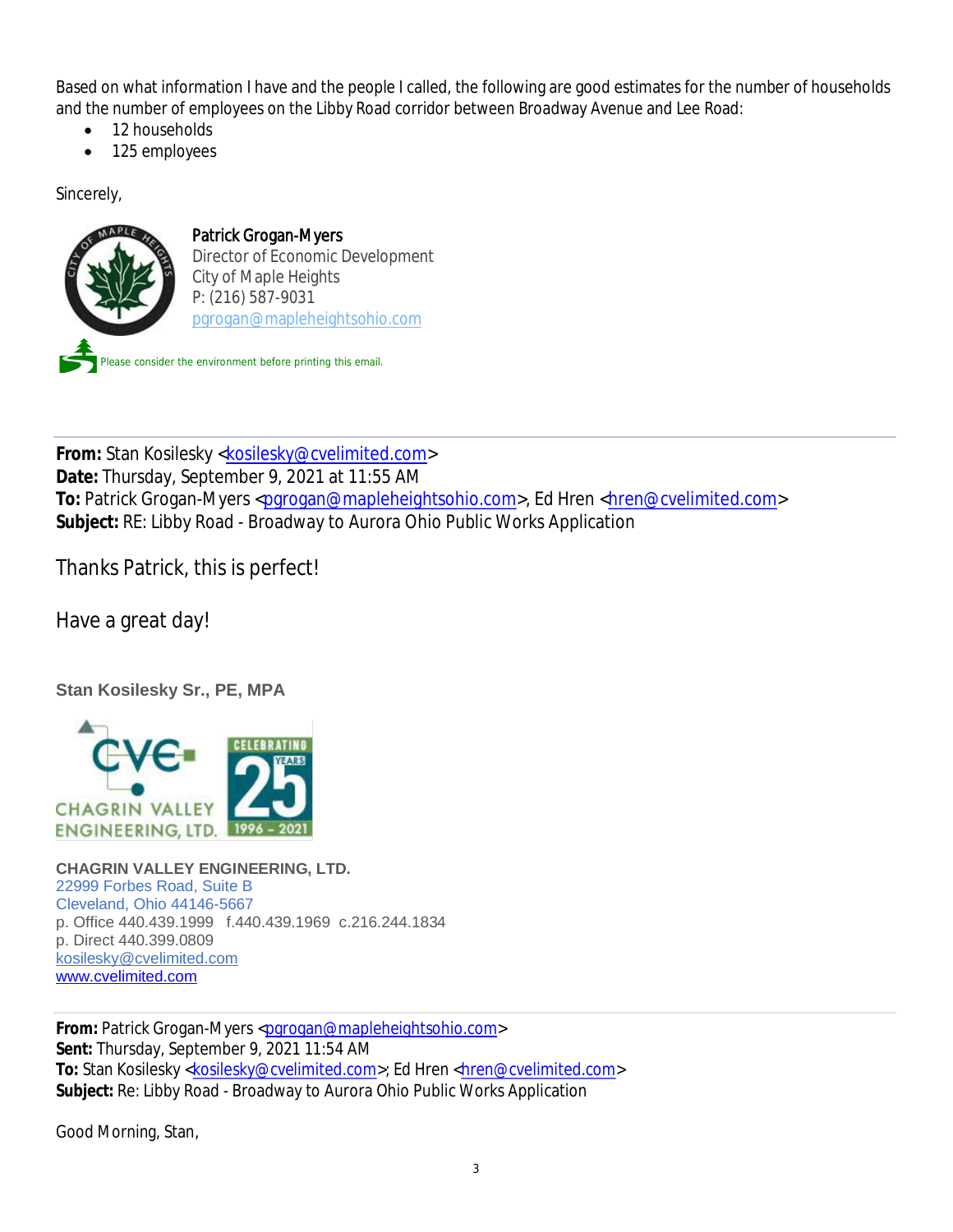Based on what information I have and the people I called, the following are good estimates for the number of households and the number of employees on the Libby Road corridor between Broadway Avenue and Lee Road:

- 12 households
- · 125 employees

Sincerely,



From: Stan Kosilesky <kosilesky@cvelimited.com> **Date:** Thursday, September 9, 2021 at 11:55 AM To: Patrick Grogan-Myers <pgrogan@mapleheightsohio.com>, Ed Hren <hren@cvelimited.com> **Subject:** RE: Libby Road - Broadway to Aurora Ohio Public Works Application

Thanks Patrick, this is perfect!

Have a great day!

**Stan Kosilesky Sr., PE, MPA**



**CHAGRIN VALLEY ENGINEERING, LTD.** 22999 Forbes Road, Suite B Cleveland, Ohio 44146-5667 p. Office 440.439.1999 f.440.439.1969 c.216.244.1834 p. Direct 440.399.0809 kosilesky@cvelimited.com www.cvelimited.com

From: Patrick Grogan-Myers <parogan@mapleheightsohio.com> **Sent:** Thursday, September 9, 2021 11:54 AM To: Stan Kosilesky <kosilesky@cvelimited.com>; Ed Hren <hren@cvelimited.com> **Subject:** Re: Libby Road - Broadway to Aurora Ohio Public Works Application

Good Morning, Stan,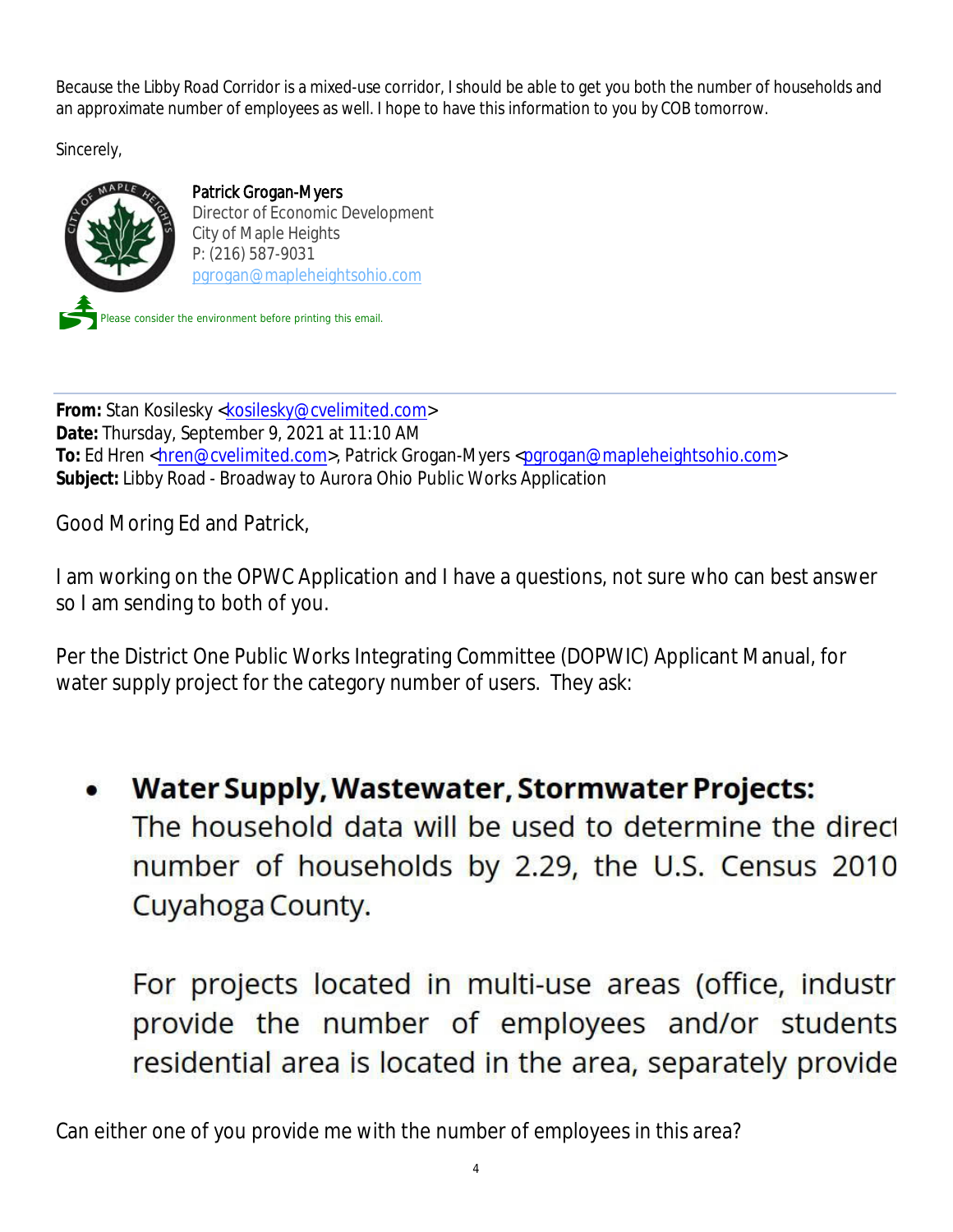Because the Libby Road Corridor is a mixed-use corridor, I should be able to get you both the number of households and an approximate number of employees as well. I hope to have this information to you by COB tomorrow.

Sincerely,



Patrick Grogan-Myers Director of Economic Development City of Maple Heights P: (216) 587-9031 pgrogan@mapleheightsohio.com

Please consider the environment before printing this email.

**From:** Stan Kosilesky <kosilesky@cvelimited.com> **Date:** Thursday, September 9, 2021 at 11:10 AM To: Ed Hren <hren@cvelimited.com>, Patrick Grogan-Myers <pgrogan@mapleheightsohio.com> **Subject:** Libby Road - Broadway to Aurora Ohio Public Works Application

Good Moring Ed and Patrick,

I am working on the OPWC Application and I have a questions, not sure who can best answer so I am sending to both of you.

Per the District One Public Works Integrating Committee (DOPWIC) Applicant Manual, for water supply project for the category number of users. They ask:

Water Supply, Wastewater, Stormwater Projects: The household data will be used to determine the direct number of households by 2.29, the U.S. Census 2010 Cuyahoga County.

For projects located in multi-use areas (office, industr provide the number of employees and/or students residential area is located in the area, separately provide

Can either one of you provide me with the number of employees in this area?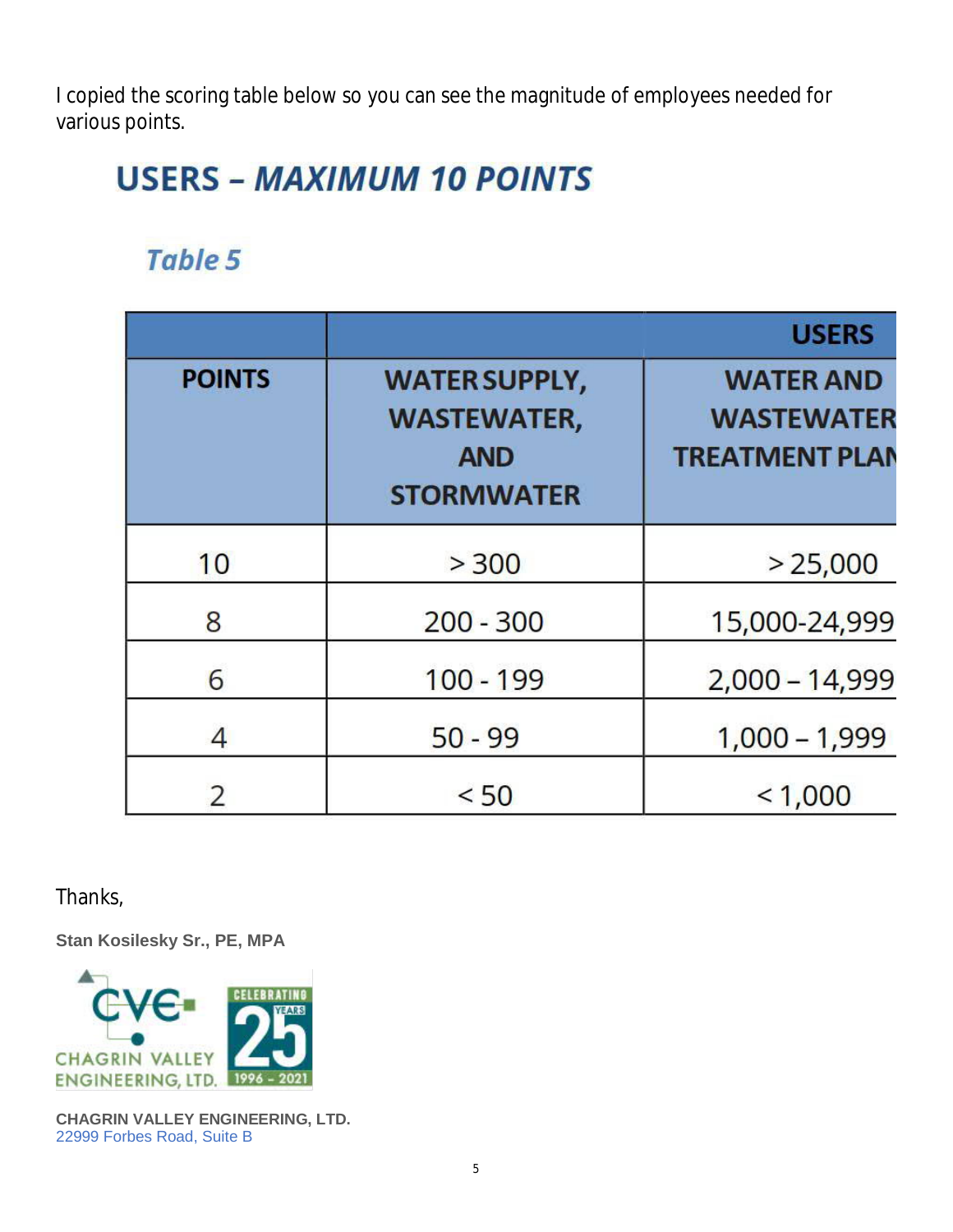I copied the scoring table below so you can see the magnitude of employees needed for various points.

# **USERS - MAXIMUM 10 POINTS**

## Table 5

|               |                                                                               | <b>USERS</b>                                                   |
|---------------|-------------------------------------------------------------------------------|----------------------------------------------------------------|
| <b>POINTS</b> | <b>WATER SUPPLY,</b><br><b>WASTEWATER,</b><br><b>AND</b><br><b>STORMWATER</b> | <b>WATER AND</b><br><b>WASTEWATER</b><br><b>TREATMENT PLAN</b> |
| 10            | > 300                                                                         | > 25,000                                                       |
| 8             | $200 - 300$                                                                   | 15,000-24,999                                                  |
| 6             | $100 - 199$                                                                   | $2,000 - 14,999$                                               |
| 4             | $50 - 99$                                                                     | $1,000 - 1,999$                                                |
|               | < 50                                                                          | < 1,000                                                        |

Thanks,

**Stan Kosilesky Sr., PE, MPA**



**CHAGRIN VALLEY ENGINEERING, LTD.** 22999 Forbes Road, Suite B